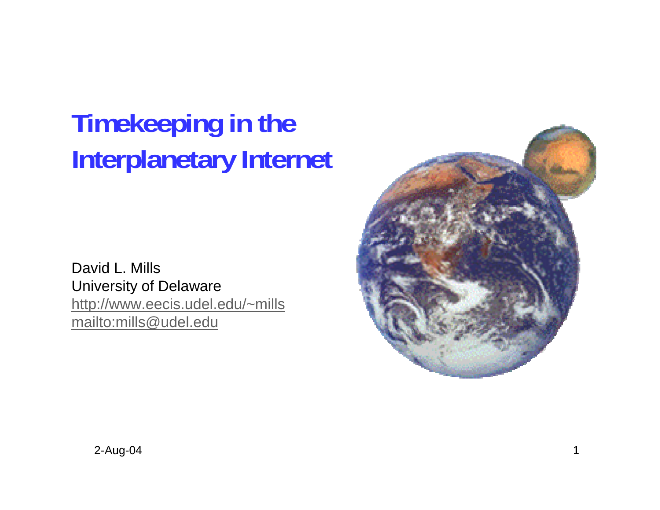# **Timekeeping in the Interplanetary Internet**

David L. Mills University of Delaware http://www.eecis.udel.edu/~mills mailto:mills@udel.edu

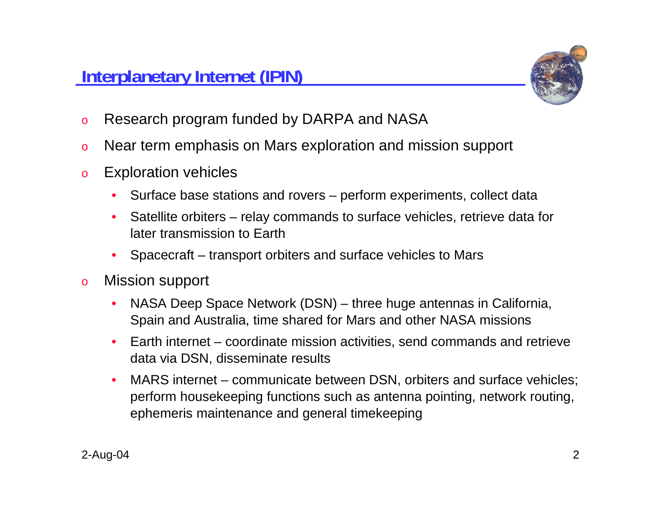

- oResearch program funded by DARPA and NASA
- oNear term emphasis on Mars exploration and mission support
- o Exploration vehicles
	- •Surface base stations and rovers – perform experiments, collect data
	- • Satellite orbiters – relay commands to surface vehicles, retrieve data for later transmission to Earth
	- •Spacecraft – transport orbiters and surface vehicles to Mars
- o Mission support
	- • NASA Deep Space Network (DSN) – three huge antennas in California, Spain and Australia, time shared for Mars and other NASA missions
	- • Earth internet – coordinate mission activities, send commands and retrieve data via DSN, disseminate results
	- • MARS internet – communicate between DSN, orbiters and surface vehicles; perform housekeeping functions such as antenna pointing, network routing, ephemeris maintenance and general timekeeping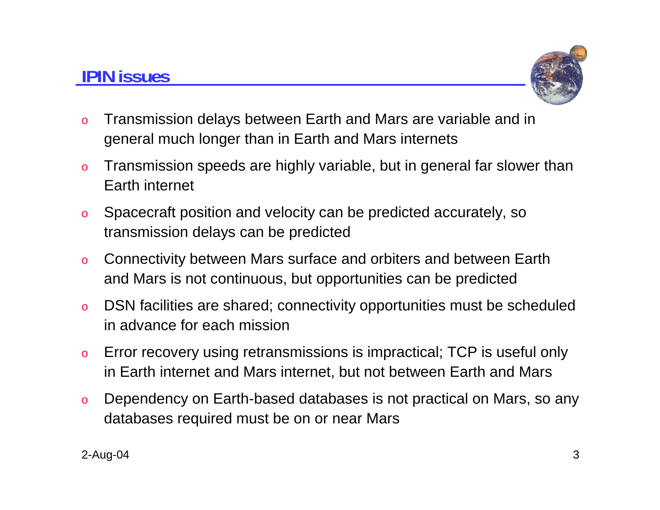### **IPIN issues**



- o Transmission delays between Earth and Mars are variable and in general much longer than in Earth and Mars internets
- o Transmission speeds are highly variable, but in general far slower than Earth internet
- o Spacecraft position and velocity can be predicted accurately, so transmission delays can be predicted
- o Connectivity between Mars surface and orbiters and between Earth and Mars is not continuous, but opportunities can be predicted
- o DSN facilities are shared; connectivity opportunities must be scheduled in advance for each mission
- o Error recovery using retransmissions is impractical; TCP is useful only in Earth internet and Mars internet, but not between Earth and Mars
- o Dependency on Earth-based databases is not practical on Mars, so any databases required must be on or near Mars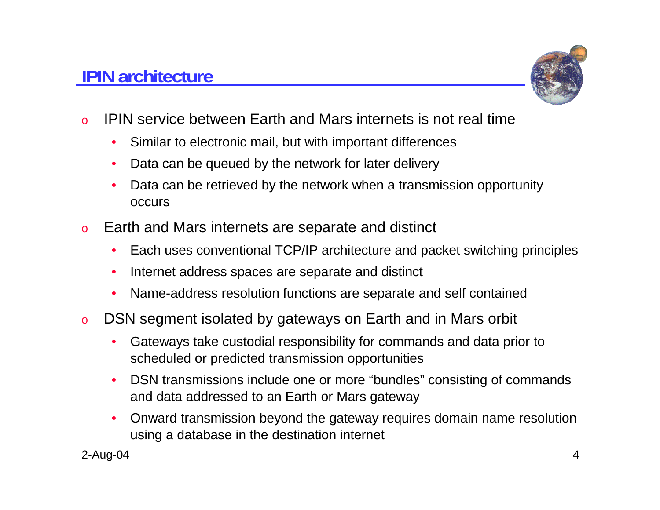### **IPIN architecture**



- o IPIN service between Earth and Mars internets is not real time
	- $\bullet$ Similar to electronic mail, but with important differences
	- •Data can be queued by the network for later delivery
	- • Data can be retrieved by the network when a transmission opportunity occurs
- o Earth and Mars internets are separate and distinct
	- $\bullet$ Each uses conventional TCP/IP architecture and packet switching principles
	- •Internet address spaces are separate and distinct
	- •Name-address resolution functions are separate and self contained
- o DSN segment isolated by gateways on Earth and in Mars orbit
	- • Gateways take custodial responsibility for commands and data prior to scheduled or predicted transmission opportunities
	- • DSN transmissions include one or more "bundles" consisting of commands and data addressed to an Earth or Mars gateway
	- • Onward transmission beyond the gateway requires domain name resolution using a database in the destination internet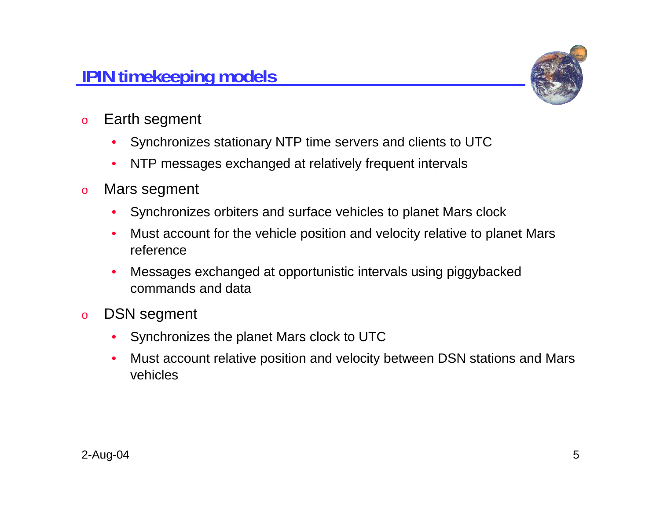### **IPIN timekeeping models**



- o Earth segment
	- $\bullet$ Synchronizes stationary NTP time servers and clients to UTC
	- $\bullet$ NTP messages exchanged at relatively frequent intervals
- o Mars segment
	- $\bullet$ Synchronizes orbiters and surface vehicles to planet Mars clock
	- • Must account for the vehicle position and velocity relative to planet Mars reference
	- • Messages exchanged at opportunistic intervals using piggybacked commands and data
- o DSN segment
	- $\bullet$ Synchronizes the planet Mars clock to UTC
	- • Must account relative position and velocity between DSN stations and Mars vehicles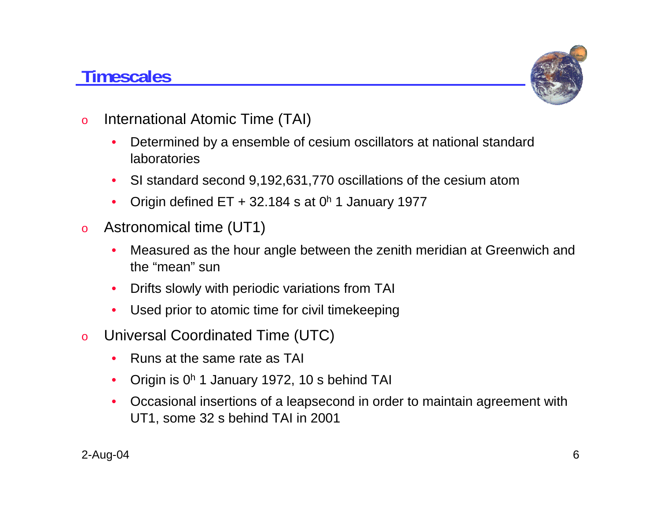### **Timescales**



- o International Atomic Time (TAI)
	- • Determined by a ensemble of cesium oscillators at national standard laboratories
	- •SI standard second 9,192,631,770 oscillations of the cesium atom
	- •Origin defined  $ET + 32.184$  s at  $0<sup>h</sup>$  1 January 1977
- o Astronomical time (UT1)
	- • Measured as the hour angle between the zenith meridian at Greenwich and the "mean" sun
	- •Drifts slowly with periodic variations from TAI
	- •Used prior to atomic time for civil timekeeping
- o Universal Coordinated Time (UTC)
	- •Runs at the same rate as TAI
	- •Origin is 0h 1 January 1972, 10 s behind TAI
	- Occasional insertions of a leapsecond in order to maintain agreement with UT1, some 32 s behind TAI in 2001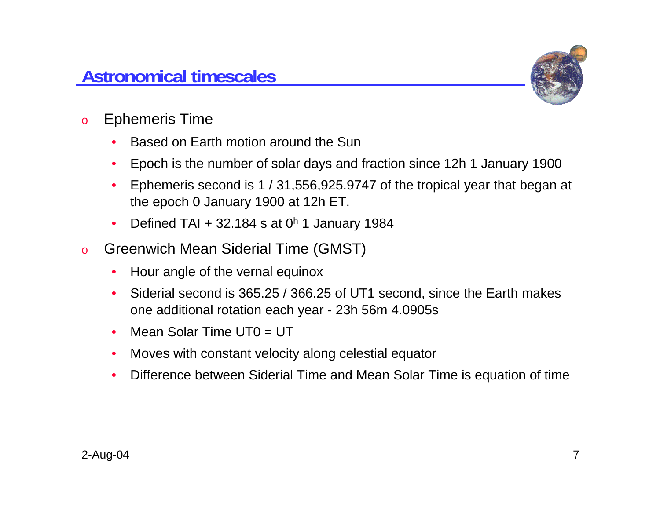

- o Ephemeris Time
	- •Based on Earth motion around the Sun
	- •Epoch is the number of solar days and fraction since 12h 1 January 1900
	- • Ephemeris second is 1 / 31,556,925.9747 of the tropical year that began at the epoch 0 January 1900 at 12h ET.
	- •Defined TAI + 32.184 s at  $0<sup>h</sup>$  1 January 1984
- o Greenwich Mean Siderial Time (GMST)
	- •Hour angle of the vernal equinox
	- • Siderial second is 365.25 / 366.25 of UT1 second, since the Earth makes one additional rotation each year - 23h 56m 4.0905s
	- •Mean Solar Time  $UT0 = UT$
	- •Moves with constant velocity along celestial equator
	- •Difference between Siderial Time and Mean Solar Time is equation of time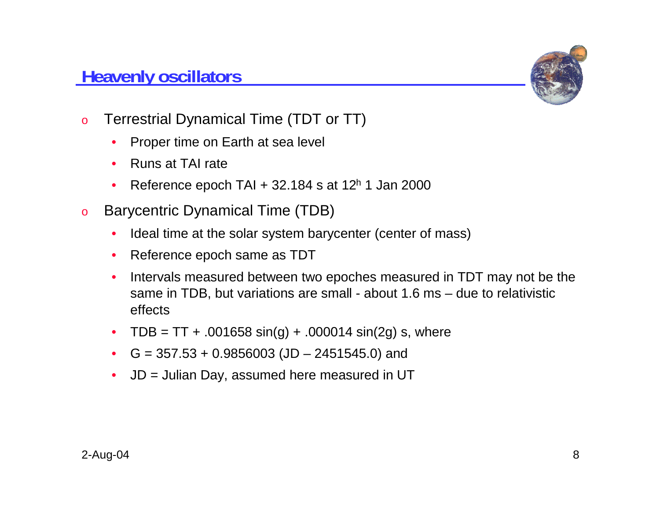#### **Heavenly oscillators**



- o Terrestrial Dynamical Time (TDT or TT)
	- $\bullet$ Proper time on Earth at sea level
	- •Runs at TAI rate
	- •Reference epoch TAI  $+$  32.184 s at 12<sup>h</sup> 1 Jan 2000
- o Barycentric Dynamical Time (TDB)
	- •Ideal time at the solar system barycenter (center of mass)
	- Reference epoch same as TDT
	- • Intervals measured between two epoches measured in TDT may not be the same in TDB, but variations are small - about 1.6 ms – due to relativistic effects
	- TDB = TT + .001658 sin(g) + .000014 sin(2g) s, where
	- G = 357.53 + 0.9856003 (JD 2451545.0) and
	- •JD = Julian Day, assumed here measured in UT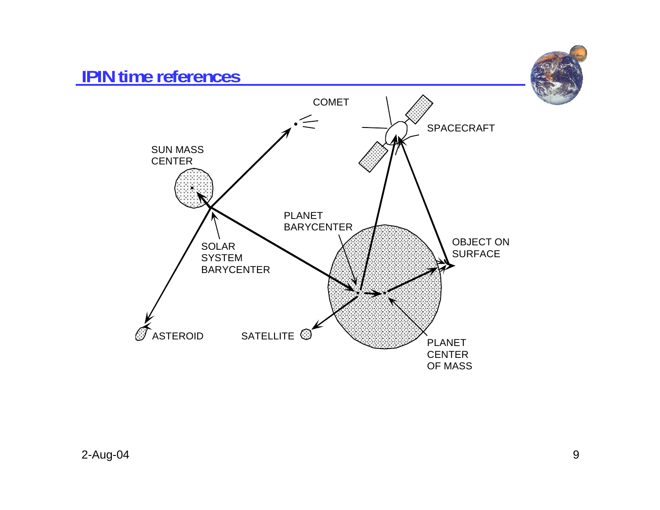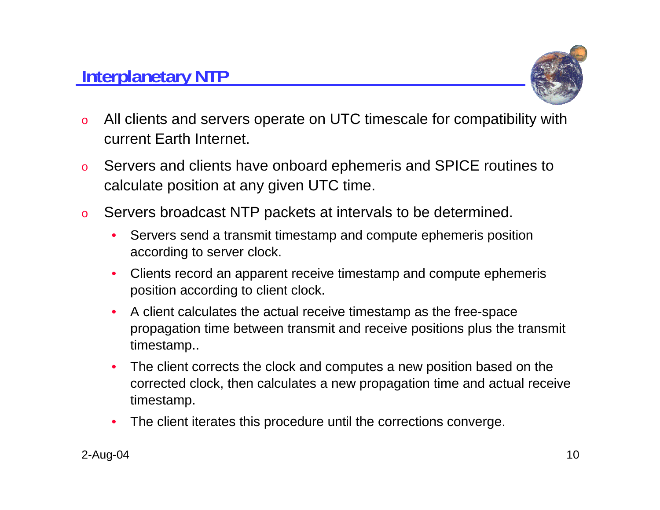#### **Interplanetary NTP**



- o All clients and servers operate on UTC timescale for compatibility with current Earth Internet.
- o Servers and clients have onboard ephemeris and SPICE routines to calculate position at any given UTC time.
- o Servers broadcast NTP packets at intervals to be determined.
	- • Servers send a transmit timestamp and compute ephemeris position according to server clock.
	- • Clients record an apparent receive timestamp and compute ephemeris position according to client clock.
	- $\bullet$  A client calculates the actual receive timestamp as the free-space propagation time between transmit and receive positions plus the transmit timestamp..
	- $\bullet$  The client corrects the clock and computes a new position based on the corrected clock, then calculates a new propagation time and actual receive timestamp.
	- •The client iterates this procedure until the corrections converge.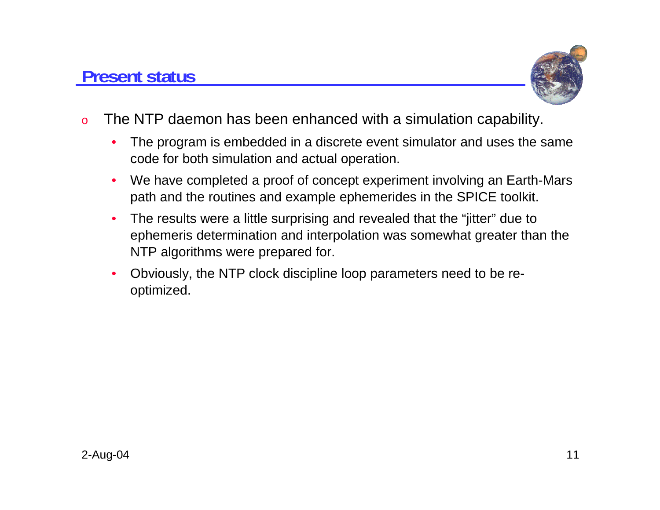

- o The NTP daemon has been enhanced with a simulation capability.
	- • The program is embedded in a discrete event simulator and uses the same code for both simulation and actual operation.
	- • We have completed a proof of concept experiment involving an Earth-Mars path and the routines and example ephemerides in the SPICE toolkit.
	- $\bullet$  The results were a little surprising and revealed that the "jitter" due to ephemeris determination and interpolation was somewhat greater than the NTP algorithms were prepared for.
	- • Obviously, the NTP clock discipline loop parameters need to be reoptimized.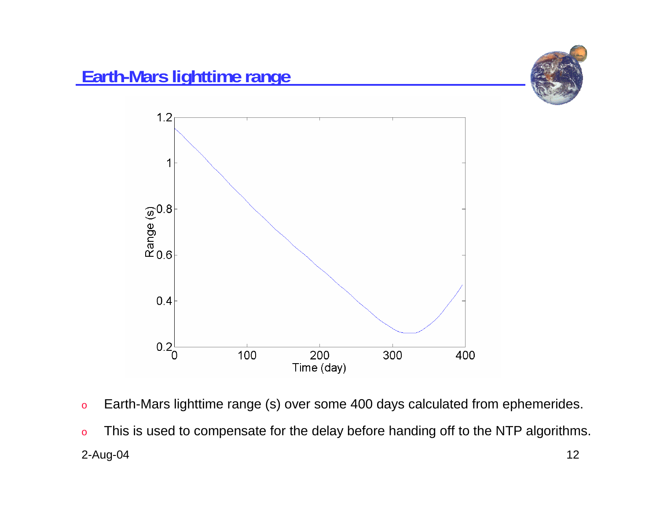



- oEarth-Mars lighttime range (s) over some 400 days calculated from ephemerides.
- 2-Aug-04 12 oThis is used to compensate for the delay before handing off to the NTP algorithms.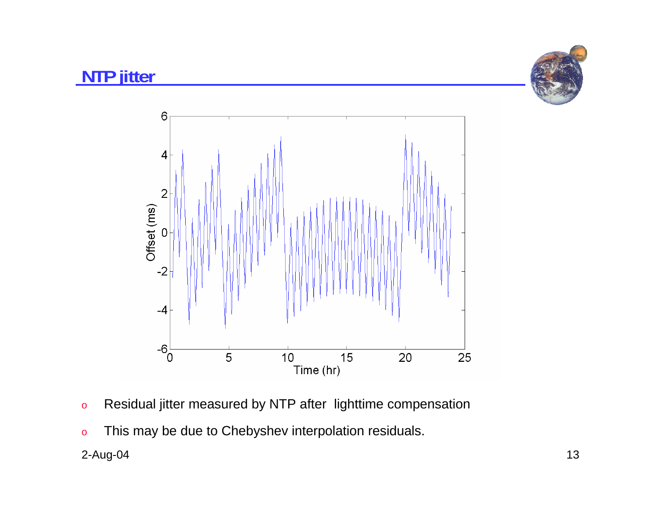

#### **NTP jitter**



- oResidual jitter measured by NTP after lighttime compensation
- oThis may be due to Chebyshev interpolation residuals.

#### 2-Aug-04 13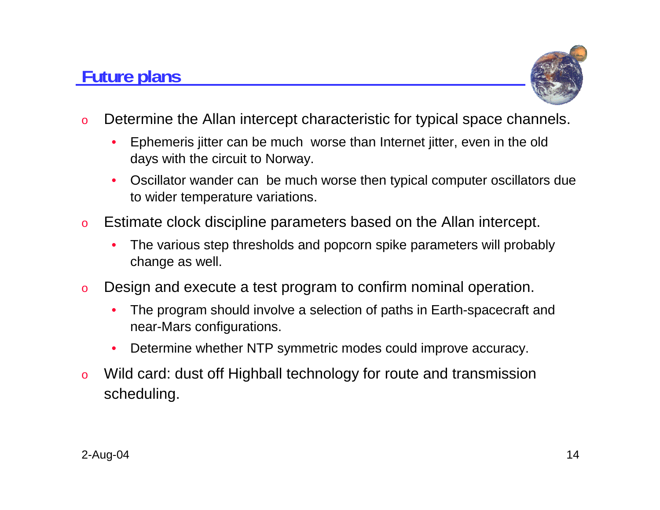## **Future plans**



- o Determine the Allan intercept characteristic for typical space channels.
	- • Ephemeris jitter can be much worse than Internet jitter, even in the old days with the circuit to Norway.
	- • Oscillator wander can be much worse then typical computer oscillators due to wider temperature variations.
- o Estimate clock discipline parameters based on the Allan intercept.
	- • The various step thresholds and popcorn spike parameters will probably change as well.
- o Design and execute a test program to confirm nominal operation.
	- • The program should involve a selection of paths in Earth-spacecraft and near-Mars configurations.
	- •Determine whether NTP symmetric modes could improve accuracy.
- o Wild card: dust off Highball technology for route and transmission scheduling.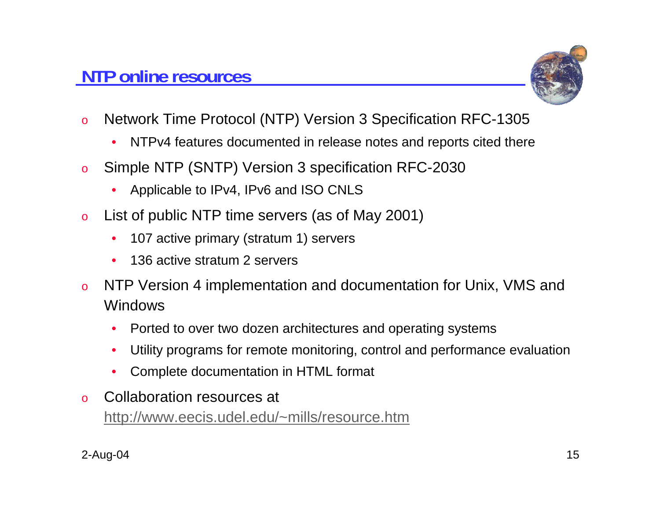

- o Network Time Protocol (NTP) Version 3 Specification RFC-1305
	- •NTPv4 features documented in release notes and reports cited there
- o Simple NTP (SNTP) Version 3 specification RFC-2030
	- •Applicable to IPv4, IPv6 and ISO CNLS
- o List of public NTP time servers (as of May 2001)
	- $\bullet$ 107 active primary (stratum 1) servers
	- •136 active stratum 2 servers
- o NTP Version 4 implementation and documentation for Unix, VMS and Windows
	- •Ported to over two dozen architectures and operating systems
	- •Utility programs for remote monitoring, control and performance evaluation
	- •Complete documentation in HTML format
- o Collaboration resources at http://www.eecis.udel.edu/~mills/resource.htm